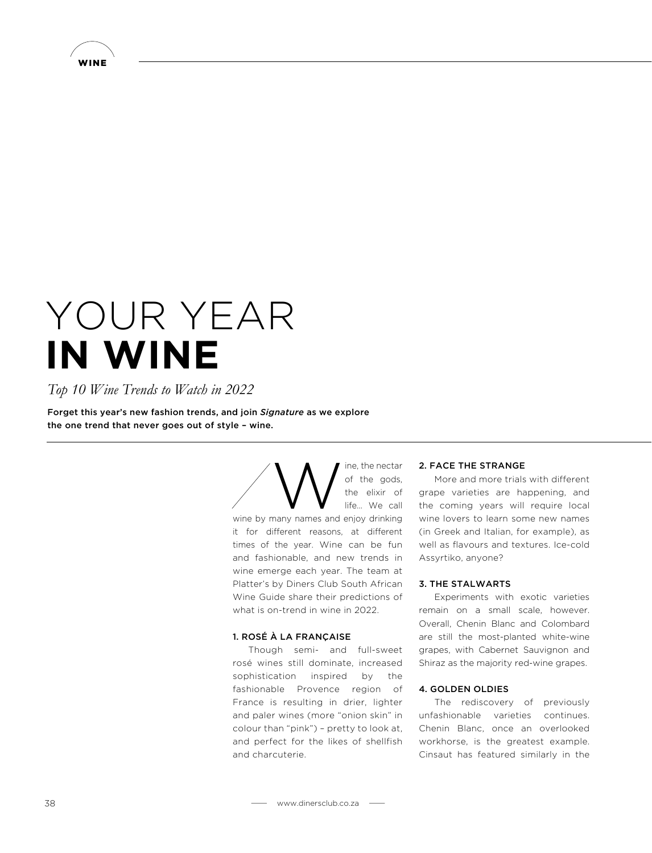

# YOUR YEAR **IN WINE**

# *Top 10 Wine Trends to Watch in 2022*

Forget this year's new fashion trends, and join *Signature* as we explore the one trend that never goes out of style – wine.

> $\sum_{\text{life, the electric} \atop \text{life}}$  of the gods,<br>the elixir of life... We call of the gods, the elixir of life… We call wine by many names and enjoy drinking it for different reasons, at different times of the year. Wine can be fun and fashionable, and new trends in wine emerge each year. The team at Platter's by Diners Club South African Wine Guide share their predictions of what is on-trend in wine in 2022.

#### 1. ROSÉ À LA FRANÇAISE

Though semi- and full-sweet rosé wines still dominate, increased sophistication inspired by the fashionable Provence region of France is resulting in drier, lighter and paler wines (more "onion skin" in colour than "pink") – pretty to look at, and perfect for the likes of shellfish and charcuterie.

#### 2. FACE THE STRANGE

More and more trials with different grape varieties are happening, and the coming years will require local wine lovers to learn some new names (in Greek and Italian, for example), as well as flavours and textures. Ice-cold Assyrtiko, anyone?

# 3. THE STALWARTS

Experiments with exotic varieties remain on a small scale, however. Overall, Chenin Blanc and Colombard are still the most-planted white-wine grapes, with Cabernet Sauvignon and Shiraz as the majority red-wine grapes.

# 4. GOLDEN OLDIES

The rediscovery of previously unfashionable varieties continues. Chenin Blanc, once an overlooked workhorse, is the greatest example. Cinsaut has featured similarly in the

```
38 www.dinersclub.co.za
```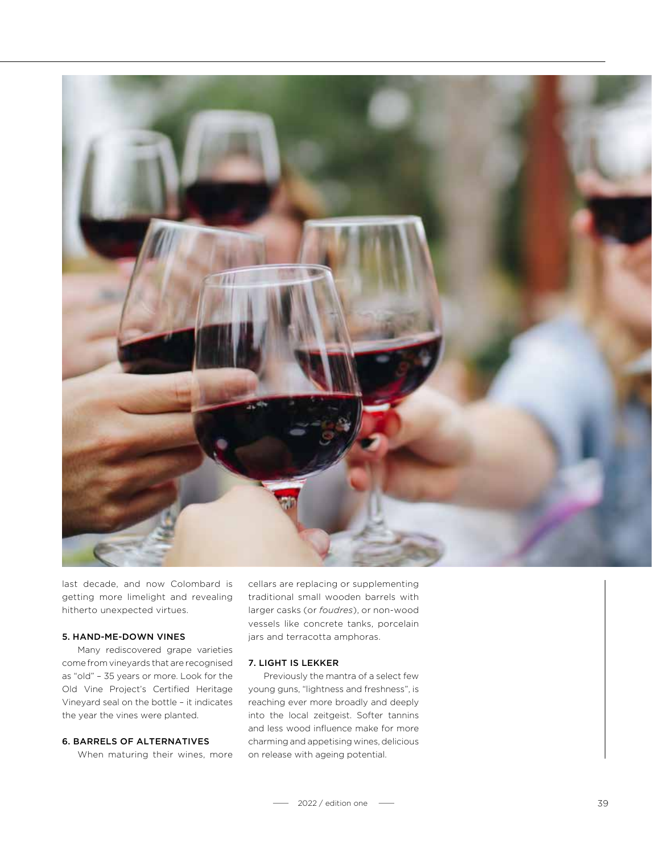

last decade, and now Colombard is getting more limelight and revealing hitherto unexpected virtues.

#### 5. HAND-ME-DOWN VINES

Many rediscovered grape varieties come from vineyards that are recognised as "old" – 35 years or more. Look for the Old Vine Project's Certified Heritage Vineyard seal on the bottle – it indicates the year the vines were planted.

# 6. BARRELS OF ALTERNATIVES

When maturing their wines, more

cellars are replacing or supplementing traditional small wooden barrels with larger casks (or *foudres*), or non-wood vessels like concrete tanks, porcelain jars and terracotta amphoras.

# 7. LIGHT IS LEKKER

Previously the mantra of a select few young guns, "lightness and freshness", is reaching ever more broadly and deeply into the local zeitgeist. Softer tannins and less wood influence make for more charming and appetising wines, delicious on release with ageing potential.